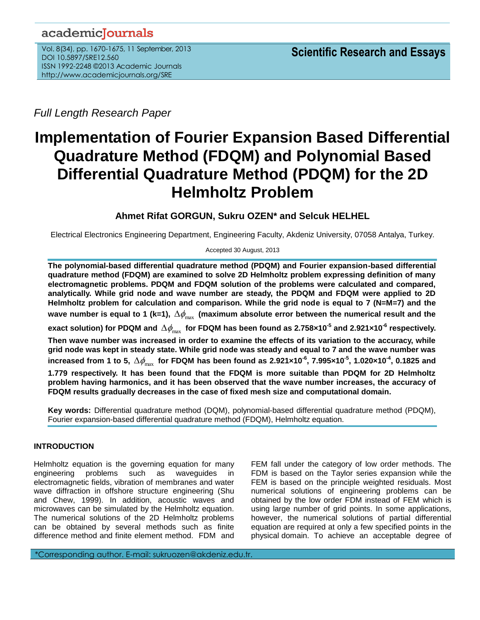## academicJournals

Vol. 8(34), pp. 1670-1675, 11 September, 2013 DOI 10.5897/SRE12.560 ISSN 1992-2248 ©2013 Academic Journals http://www.academicjournals.org/SRE

*Full Length Research Paper*

# **Implementation of Fourier Expansion Based Differential Quadrature Method (FDQM) and Polynomial Based Differential Quadrature Method (PDQM) for the 2D Helmholtz Problem**

## **Ahmet Rifat GORGUN, Sukru OZEN\* and Selcuk HELHEL**

Electrical Electronics Engineering Department, Engineering Faculty, Akdeniz University, 07058 Antalya, Turkey.

#### Accepted 30 August, 2013

**The polynomial-based differential quadrature method (PDQM) and Fourier expansion-based differential quadrature method (FDQM) are examined to solve 2D Helmholtz problem expressing definition of many electromagnetic problems. PDQM and FDQM solution of the problems were calculated and compared, analytically. While grid node and wave number are steady, the PDQM and FDQM were applied to 2D Helmholtz problem for calculation and comparison. While the grid node is equal to 7 (N=M=7) and the**  wave number is equal to 1 (k=1),  $\Delta\phi_\text{max}$  (maximum absolute error between the numerical result and the exact solution) for PDQM and  $\Delta\phi_\text{max}$  for FDQM has been found as 2.758×10<sup>-5</sup> and 2.921×10<sup>-6</sup> respectively. **Then wave number was increased in order to examine the effects of its variation to the accuracy, while grid node was kept in steady state. While grid node was steady and equal to 7 and the wave number was**   $i$  increased from 1 to 5,  $\Delta\phi_\text{max}$  for FDQM has been found as 2.921×10<sup>-6</sup>, 7.995×10<sup>-5</sup>, 1.020×10<sup>-4</sup>, 0.1825 and **1.779 respectively. It has been found that the FDQM is more suitable than PDQM for 2D Helmholtz problem having harmonics, and it has been observed that the wave number increases, the accuracy of FDQM results gradually decreases in the case of fixed mesh size and computational domain.**

**Key words:** Differential quadrature method (DQM), polynomial-based differential quadrature method (PDQM), Fourier expansion-based differential quadrature method (FDQM), Helmholtz equation.

### **INTRODUCTION**

Helmholtz equation is the governing equation for many engineering problems such as waveguides in electromagnetic fields, vibration of membranes and water wave diffraction in offshore structure engineering (Shu and Chew, 1999). In addition, acoustic waves and microwaves can be simulated by the Helmholtz equation. The numerical solutions of the 2D Helmholtz problems can be obtained by several methods such as finite difference method and finite element method. FDM and

FEM fall under the category of low order methods. The FDM is based on the Taylor series expansion while the FEM is based on the principle weighted residuals. Most numerical solutions of engineering problems can be obtained by the low order FDM instead of FEM which is using large number of grid points. In some applications, however, the numerical solutions of partial differential equation are required at only a few specified points in the physical domain. To achieve an acceptable degree of

\*Corresponding author. E-mail: sukruozen@akdeniz.edu.tr.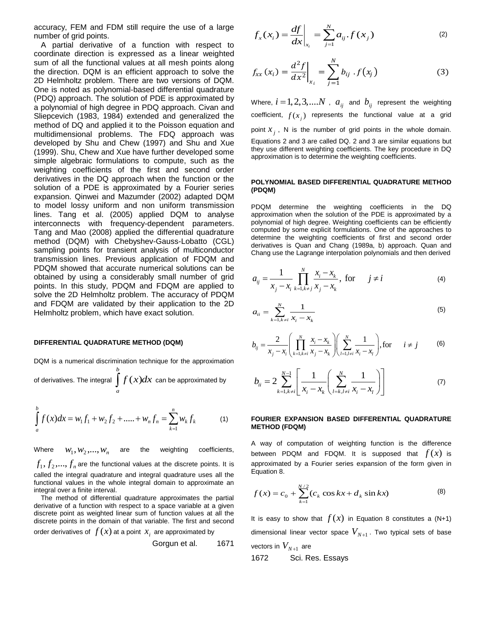accuracy, FEM and FDM still require the use of a large number of grid points.

A partial derivative of a function with respect to coordinate direction is expressed as a linear weighted sum of all the functional values at all mesh points along the direction. DQM is an efficient approach to solve the 2D Helmholtz problem. There are two versions of DQM. One is noted as polynomial-based differential quadrature (PDQ) approach. The solution of PDE is approximated by a polynomial of high degree in PDQ approach. Civan and Sliepcevich (1983, 1984) extended and generalized the method of DQ and applied it to the Poisson equation and multidimensional problems. The FDQ approach was developed by Shu and Chew (1997) and Shu and Xue (1999). Shu, Chew and Xue have further developed some simple algebraic formulations to compute, such as the weighting coefficients of the first and second order derivatives in the DQ approach when the function or the solution of a PDE is approximated by a Fourier series expansion. Qinwei and Mazumder (2002) adapted DQM to model lossy uniform and non uniform transmission lines. Tang et al. (2005) applied DQM to analyse interconnects with frequency-dependent parameters. Tang and Mao (2008) applied the differential quadrature method (DQM) with Chebyshev-Gauss-Lobatto (CGL) sampling points for transient analysis of multiconductor transmission lines. Previous application of FDQM and PDQM showed that accurate numerical solutions can be obtained by using a considerably small number of grid points. In this study, PDQM and FDQM are applied to solve the 2D Helmholtz problem. The accuracy of PDQM and FDQM are validated by their application to the 2D Helmholtz problem, which have exact solution.

#### **DIFFERENTIAL QUADRATURE METHOD (DQM)**

DQM is a numerical discrimination technique for the approximation

of derivatives. The integral  $\int f(x) dx$ *b*  $\int\limits_a^{\infty} f(x) dx$  can be approximated by

$$
\int_{a}^{b} f(x)dx = w_1 f_1 + w_2 f_2 + \dots + w_n f_n = \sum_{k=1}^{n} w_k f_k
$$
 (1)

Where  $w_1, w_2, \ldots, w_n$ weighting coefficients,  $f_1, f_2, ..., f_n$  are the functional values at the discrete points. It is called the integral quadrature and integral quadrature uses all the functional values in the whole integral domain to approximate an integral over a finite interval.

The method of differential quadrature approximates the partial derivative of a function with respect to a space variable at a given discrete point as weighted linear sum of function values at all the discrete points in the domain of that variable. The first and second

order derivatives of  $\,f(x)$  at a point  $\,x_{i}\,$  are approximated by Gorgun et al. 1671

$$
f_x(x_i) = \frac{df}{dx}\bigg|_{x_i} = \sum_{j=1}^{N} a_{ij} f(x_j)
$$
 (2)

$$
f_{xx}(x_i) = \frac{d^2 f}{dx^2}\bigg|_{x_i} = \sum_{j=1}^N b_{ij} \cdot f(x_j)
$$
 (3)

Where,  $i = 1, 2, 3, ....N$  ,  $a_{ij}$  and  $b_{ij}$  represent the weighting coefficient,  $f(x_j)$  represents the functional value at a grid point  $x_j$ , N is the number of grid points in the whole domain. Equations 2 and 3 are called DQ. 2 and 3 are similar equations but they use different weighting coefficients. The key procedure in DQ approximation is to determine the weighting coefficients.

#### **POLYNOMIAL BASED DIFFERENTIAL QUADRATURE METHOD (PDQM)**

PDQM determine the weighting coefficients in the DQ approximation when the solution of the PDE is approximated by a polynomial of high degree. Weighting coefficients can be efficiently computed by some explicit formulations. One of the approaches to determine the weighting coefficients of first and second order derivatives is Quan and Chang (1989a, b) approach. Quan and Chang use the Lagrange interpolation polynomials and then derived

$$
a_{ij} = \frac{1}{x_j - x_i} \prod_{k=1, k \neq j}^{N} \frac{x_i - x_k}{x_j - x_k}, \text{ for } j \neq i
$$
 (4)

$$
a_{ii} = \sum_{k=1, k \neq i}^{N} \frac{1}{x_i - x_k}
$$
 (5)

$$
b_{ij} = \frac{2}{x_j - x_i} \left( \prod_{k=1, k \neq i}^{N} \frac{x_i - x_k}{x_j - x_k} \right) \left( \sum_{l=1, l \neq i}^{N} \frac{1}{x_i - x_l} \right), \text{for} \quad i \neq j \tag{6}
$$

$$
b_{ii} = 2 \sum_{k=1, k \neq i}^{N-1} \left[ \frac{1}{x_i - x_k} \left( \sum_{l=k, l \neq i}^{N} \frac{1}{x_i - x_l} \right) \right]
$$
(7)

#### **FOURIER EXPANSION BASED DIFFERENTIAL QUADRATURE METHOD (FDQM)**

A way of computation of weighting function is the difference between PDQM and FDQM. It is supposed that  $f(x)$  is approximated by a Fourier series expansion of the form given in Equation 8.

$$
f(x) = c_0 + \sum_{k=1}^{N/2} (c_k \cos kx + d_k \sin kx)
$$
 (8)

It is easy to show that  $f(x)$  in Equation 8 constitutes a (N+1) dimensional linear vector space  $V_{_{N+1}}$  . Two typical sets of base vectors in  $V_{\scriptscriptstyle N+1}^{\scriptscriptstyle -}$  are 1672 Sci. Res. Essays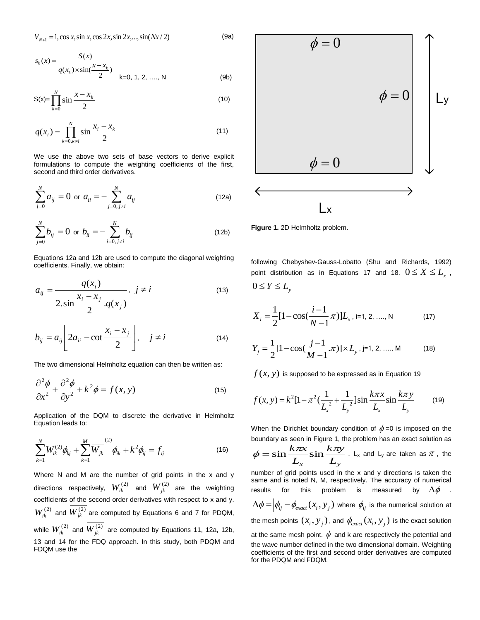$$
V_{N+1} = 1, \cos x, \sin x, \cos 2x, \sin 2x, \dots, \sin(Nx/2)
$$
 (9a)

$$
s_k(x) = \frac{S(x)}{q(x_k) \times \sin(\frac{x - x_k}{2})}
$$
  
k=0, 1, 2, ..., N (9b)

$$
S(x) = \prod_{k=0}^{N} \sin \frac{x - x_k}{2}
$$
 (10)

$$
q(x_i) = \prod_{k=0, k \neq i}^{N} \sin \frac{x_i - x_k}{2}
$$
 (11)

We use the above two sets of base vectors to derive explicit formulations to compute the weighting coefficients of the first, second and third order derivatives.

$$
\sum_{j=0}^{N} a_{ij} = 0 \text{ or } a_{ii} = -\sum_{j=0, j \neq i}^{N} a_{ij}
$$
 (12a)

$$
\sum_{j=0}^{N} b_{ij} = 0 \text{ or } b_{ii} = -\sum_{j=0, j\neq i}^{N} b_{ij}
$$
 (12b)

Equations 12a and 12b are used to compute the diagonal weighting coefficients. Finally, we obtain:

$$
a_{ij} = \frac{q(x_i)}{2 \cdot \sin \frac{x_i - x_j}{2}} \cdot j \neq i \tag{13}
$$

$$
b_{ij} = a_{ij} \left[ 2a_{ii} - \cot \frac{x_i - x_j}{2} \right], \quad j \neq i
$$
 (14)

The two dimensional Helmholtz equation can then be written as:

$$
\frac{\partial^2 \phi}{\partial x^2} + \frac{\partial^2 \phi}{\partial y^2} + k^2 \phi = f(x, y)
$$
\n(15)

Application of the DQM to discrete the derivative in Helmholtz Equation leads to:

$$
\sum_{k=1}^{N} W_{ik}^{(2)} \phi_{kj} + \sum_{k=1}^{M} \overline{W}_{jk}^{(2)} \phi_{ik} + k^2 \phi_{ij} = f_{ij}
$$
 (16)

Where N and M are the number of grid points in the x and y directions respectively,  $W^{(2)}_{ik}$  and  $W^{(2)}_{jk}$  are the weighting coefficients of the second order derivatives with respect to x and y.  $W_{ik}^{(2)}$  and  $W_{jk}^{(2)}$  are computed by Equations 6 and 7 for PDQM, while  $W_{ik}^{(2)}$  and  $W_{jk}^{(2)}$  are computed by Equations 11, 12a, 12b, 13 and 14 for the FDQ approach. In this study, both PDQM and FDQM use the



**Figure 1.** 2D Helmholtz problem.

following Chebyshev-Gauss-Lobatto (Shu and Richards, 1992) point distribution as in Equations 17 and 18.  $0 \le X \le L_{\text{x}}$  ,  $0 \le Y \le L$ <sub>y</sub>

$$
X_{i} = \frac{1}{2} [1 - \cos(\frac{i - 1}{N - 1}\pi)] L_{x}, i = 1, 2, \dots, N
$$
 (17)

$$
Y_j = \frac{1}{2} [1 - \cos(\frac{j-1}{M-1} \cdot \pi)] \times L_{y}, j=1, 2, \dots, M
$$
 (18)

$$
f(x, y)
$$
 is supposed to be expressed as in Equation 19  

$$
f(x, y) = k^2 [1 - \pi^2 (\frac{1}{L_x^2} + \frac{1}{L_y^2}) \sin \frac{k \pi x}{L_x} \sin \frac{k \pi y}{L_y}
$$
(19)

When the Dirichlet boundary condition of  $\phi$  =0 is imposed on the boundary as seen in Figure 1, the problem has an exact solution as

$$
\phi = \sin \frac{k \pi x}{L_x} \sin \frac{k \pi y}{L_y}
$$
. L<sub>x</sub> and L<sub>y</sub> are taken as  $\pi$ , the

number of grid points used in the x and y directions is taken the same and is noted N, M, respectively. The accuracy of numerical results for this problem is measured by  $\Delta \phi$  .  $\Delta \phi = \Big|\phi_{\!\scriptscriptstyle ij} - \phi_{\!\scriptscriptstyle exact}(x_{\!\scriptscriptstyle i},y_{\scriptscriptstyle j})\Big|$  where  $\phi_{\!\scriptscriptstyle ij}$  is the numerical solution at the mesh points  $(x_i, y_j)$  , and  $\phi_{exact}(x_i, y_j)$  is the exact solution at the same mesh point.  $\phi$  and k are respectively the potential and the wave number defined in the two dimensional domain. Weighting coefficients of the first and second order derivatives are computed for the PDQM and FDQM.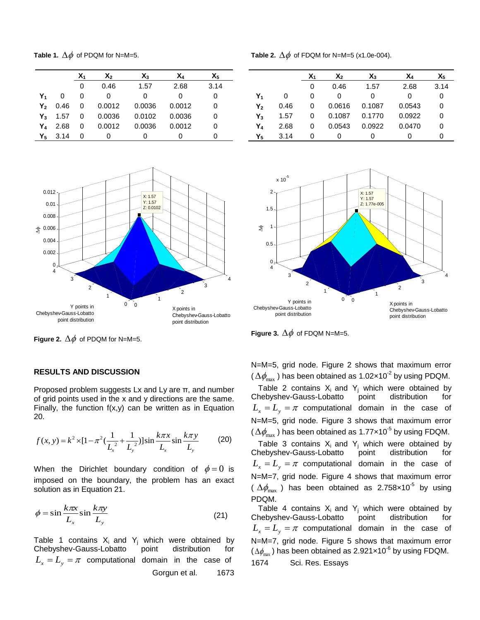**Table 1.**  $\Delta\phi$  of PDQM for N=M=5.

|                |      | X1 | χ,     | $X_3$  | X۵     | $X_5$ |
|----------------|------|----|--------|--------|--------|-------|
|                |      | 0  | 0.46   | 1.57   | 2.68   | 3.14  |
| Y <sub>1</sub> | 0    | 0  | 0      | 0      | Ω      | 0     |
| Υ,             | 0.46 | 0  | 0.0012 | 0.0036 | 0.0012 | 0     |
| Y <sub>3</sub> | 1.57 | 0  | 0.0036 | 0.0102 | 0.0036 | 0     |
| Y4             | 2.68 | 0  | 0.0012 | 0.0036 | 0.0012 | 0     |
| Υ,             | 3.14 | 0  |        |        |        | O     |



**Figure 2.**  $\Delta \phi$  of PDQM for N=M=5.

#### **RESULTS AND DISCUSSION**

Proposed problem suggests Lx and Ly are  $\pi$ , and number of grid points used in the x and y directions are the same. Finally, the function  $f(x,y)$  can be written as in Equation 20.

20.  
\n
$$
f(x, y) = k^2 \times [1 - \pi^2 (\frac{1}{L_x^2} + \frac{1}{L_y^2})] \sin \frac{k \pi x}{L_x} \sin \frac{k \pi y}{L_y}
$$
 (20)

When the Dirichlet boundary condition of  $\phi = 0$  is imposed on the boundary, the problem has an exact solution as in Equation 21.

$$
\phi = \sin \frac{k\pi x}{L_x} \sin \frac{k\pi y}{L_y} \tag{21}
$$

Table 1 contains  $X_i$  and  $Y_i$  which were obtained by Chebyshev-Gauss-Lobatto point distribution for  $L_x = L_y = \pi$  computational domain in the case of Gorgun et al. 1673

**Table 2.**  $\Delta\phi$  of FDQM for N=M=5 (x1.0e-004).

|       |      | X1 | $\mathsf{X}_2$ | $X_3$  | X4     | Х5   |
|-------|------|----|----------------|--------|--------|------|
|       |      | 0  | 0.46           | 1.57   | 2.68   | 3.14 |
| Y,    | 0    | 0  | 0              | 0      | 0      | 0    |
| Υ,    | 0.46 | 0  | 0.0616         | 0.1087 | 0.0543 | 0    |
| $Y_3$ | 1.57 | 0  | 0.1087         | 0.1770 | 0.0922 | 0    |
| Y4    | 2.68 | 0  | 0.0543         | 0.0922 | 0.0470 | 0    |
| Y,    | 3.14 | Ω  | O)             | O      | O      | O    |



**Figure 3.**  $\Delta \phi$  of FDQM N=M=5.

N=M=5, grid node. Figure 2 shows that maximum error ( $\Delta\phi_\mathrm{max}$  ) has been obtained as 1.02×10<sup>-2</sup> by using PDQM.

Table 2 contains  $X_i$  and  $Y_j$  which were obtained by hebyshev-Gauss-Lobatto point distribution for Chebyshev-Gauss-Lobatto point distribution for  $L_x = L_y = \pi$  computational domain in the case of N=M=5, grid node. Figure 3 shows that maximum error ( $\Delta\phi_\mathrm{max}$  ) has been obtained as 1.77×10<sup>-5</sup> by using FDQM.

Table 3 contains  $X_i$  and  $Y_i$  which were obtained by Chebyshev-Gauss-Lobatto point distribution for  $L_x = L_y = \pi$  computational domain in the case of N=M=7, grid node. Figure 4 shows that maximum error (  $\Delta\phi_\text{max}$  ) has been obtained as 2.758x10<sup>-5</sup> by using PDQM.

Table 4 contains  $X_i$  and  $Y_j$  which were obtained by hebyshev-Gauss-Lobatto point distribution for Chebyshev-Gauss-Lobatto point distribution for  $L_x = L_y = \pi$  computational domain in the case of N=M=7, grid node. Figure 5 shows that maximum error  $(\Delta \phi_{\textrm{\tiny{max}}})$  has been obtained as 2.921×10<sup>-6</sup> by using FDQM. 1674 Sci. Res. Essays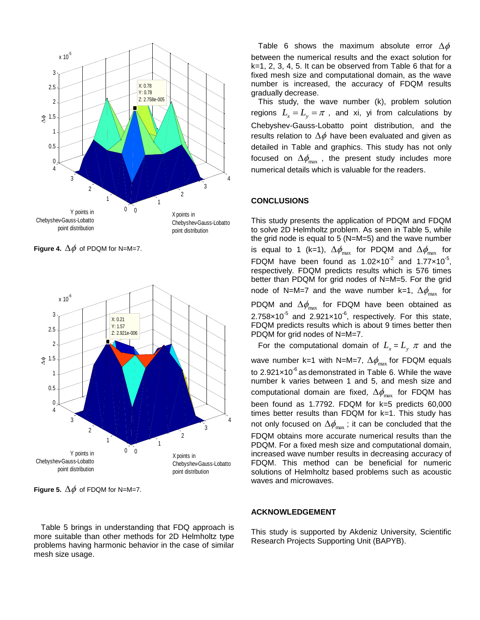

**Figure 4.**  $\Delta\phi$  of PDQM for N=M=7.



**Figure 5.**  $\Delta \phi$  of FDQM for N=M=7.

Table 5 brings in understanding that FDQ approach is more suitable than other methods for 2D Helmholtz type problems having harmonic behavior in the case of similar mesh size usage.

Table 6 shows the maximum absolute error  $\Delta \phi$ between the numerical results and the exact solution for k=1, 2, 3, 4, 5. It can be observed from Table 6 that for a fixed mesh size and computational domain, as the wave number is increased, the accuracy of FDQM results gradually decrease.

This study, the wave number (k), problem solution regions  $L_x = L_y = \pi$ , and xi, yi from calculations by Chebyshev-Gauss-Lobatto point distribution, and the results relation to  $\Delta \phi$  have been evaluated and given as detailed in Table and graphics. This study has not only focused on  $\Delta \phi_\text{max}$  , the present study includes more numerical details which is valuable for the readers.

#### **CONCLUSIONS**

This study presents the application of PDQM and FDQM to solve 2D Helmholtz problem. As seen in Table 5, while the grid node is equal to 5 (N=M=5) and the wave number is equal to 1 (k=1),  $\Delta \phi_\mathrm{max}$  for PDQM and  $\Delta \phi_\mathrm{max}$  for FDQM have been found as  $1.02 \times 10^{-2}$  and  $1.77 \times 10^{-5}$ , respectively. FDQM predicts results which is 576 times better than PDQM for grid nodes of N=M=5. For the grid node of N=M=7 and the wave number k=1,  $\Delta\phi_\text{max}$  for PDQM and  $\Delta\phi_\mathrm{max}$  for FDQM have been obtained as  $2.758\times10^{-5}$  and  $2.921\times10^{-6}$ , respectively. For this state, FDQM predicts results which is about 9 times better then PDQM for grid nodes of N=M=7.

For the computational domain of  $L_x = L_y \pi$  and the wave number k=1 with N=M=7,  $\Delta \phi_\text{max}$  for FDQM equals to 2.921 $\times$ 10<sup>-6</sup> as demonstrated in Table 6. While the wave number k varies between 1 and 5, and mesh size and computational domain are fixed,  $\Delta\phi_\text{max}$  for FDQM has been found as 1.7792. FDQM for k=5 predicts 60,000 times better results than FDQM for k=1. This study has not only focused on  $\Delta \phi_\text{max}$  ; it can be concluded that the FDQM obtains more accurate numerical results than the PDQM. For a fixed mesh size and computational domain, increased wave number results in decreasing accuracy of FDQM. This method can be beneficial for numeric solutions of Helmholtz based problems such as acoustic waves and microwaves.

#### **ACKNOWLEDGEMENT**

This study is supported by Akdeniz University, Scientific Research Projects Supporting Unit (BAPYB).